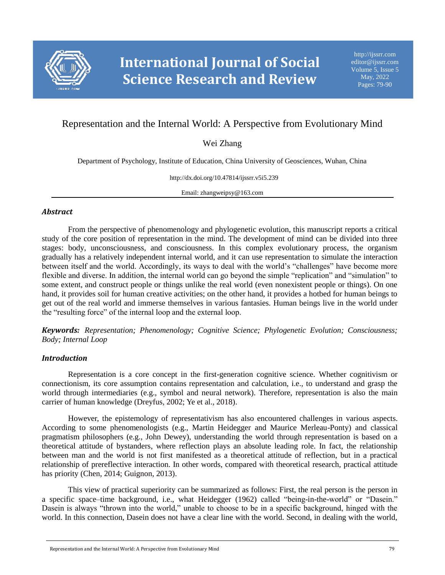

# Representation and the Internal World: A Perspective from Evolutionary Mind

# Wei Zhang

Department of Psychology, Institute of Education, China University of Geosciences, Wuhan, China

http://dx.doi.org/10.47814/ijssrr.v5i5.239

Email: zhangweipsy@163.com

# *Abstract*

From the perspective of phenomenology and phylogenetic evolution, this manuscript reports a critical study of the core position of representation in the mind. The development of mind can be divided into three stages: body, unconsciousness, and consciousness. In this complex evolutionary process, the organism gradually has a relatively independent internal world, and it can use representation to simulate the interaction between itself and the world. Accordingly, its ways to deal with the world's "challenges" have become more flexible and diverse. In addition, the internal world can go beyond the simple "replication" and "simulation" to some extent, and construct people or things unlike the real world (even nonexistent people or things). On one hand, it provides soil for human creative activities; on the other hand, it provides a hotbed for human beings to get out of the real world and immerse themselves in various fantasies. Human beings live in the world under the "resulting force" of the internal loop and the external loop.

*Keywords: Representation; Phenomenology; Cognitive Science; Phylogenetic Evolution; Consciousness; Body; Internal Loop*

# *Introduction*

Representation is a core concept in the first-generation cognitive science. Whether cognitivism or connectionism, its core assumption contains representation and calculation, i.e., to understand and grasp the world through intermediaries (e.g., symbol and neural network). Therefore, representation is also the main carrier of human knowledge (Dreyfus, 2002; Ye et al., 2018).

However, the epistemology of representativism has also encountered challenges in various aspects. According to some phenomenologists (e.g., Martin Heidegger and Maurice Merleau-Ponty) and classical pragmatism philosophers (e.g., John Dewey), understanding the world through representation is based on a theoretical attitude of bystanders, where reflection plays an absolute leading role. In fact, the relationship between man and the world is not first manifested as a theoretical attitude of reflection, but in a practical relationship of prereflective interaction. In other words, compared with theoretical research, practical attitude has priority (Chen, 2014; Guignon, 2013).

This view of practical superiority can be summarized as follows: First, the real person is the person in a specific space–time background, i.e., what Heidegger (1962) called "being-in-the-world" or "Dasein." Dasein is always "thrown into the world," unable to choose to be in a specific background, hinged with the world. In this connection, Dasein does not have a clear line with the world. Second, in dealing with the world,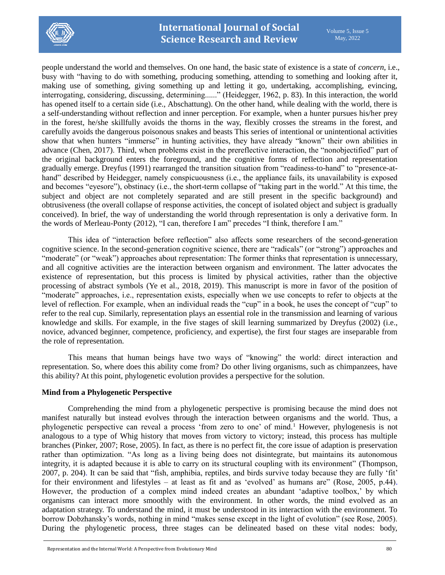

people understand the world and themselves. On one hand, the basic state of existence is a state of *concern*, i.e., busy with "having to do with something, producing something, attending to something and looking after it, making use of something, giving something up and letting it go, undertaking, accomplishing, evincing, interrogating, considering, discussing, determining......" (Heidegger, 1962, p. 83). In this interaction, the world has opened itself to a certain side (i.e., Abschattung). On the other hand, while dealing with the world, there is a self-understanding without reflection and inner perception. For example, when a hunter pursues his/her prey in the forest, he/she skillfully avoids the thorns in the way, flexibly crosses the streams in the forest, and carefully avoids the dangerous poisonous snakes and beasts This series of intentional or unintentional activities show that when hunters "immerse" in hunting activities, they have already "known" their own abilities in advance (Chen, 2017). Third, when problems exist in the prereflective interaction, the "nonobjectified" part of the original background enters the foreground, and the cognitive forms of reflection and representation gradually emerge. Dreyfus (1991) rearranged the transition situation from "readiness-to-hand" to "presence-athand" described by Heidegger, namely conspicuousness (i.e., the appliance fails, its unavailability is exposed and becomes "eyesore"), obstinacy (i.e., the short-term collapse of "taking part in the world." At this time, the subject and object are not completely separated and are still present in the specific background) and obtrusiveness (the overall collapse of response activities, the concept of isolated object and subject is gradually conceived). In brief, the way of understanding the world through representation is only a derivative form. In the words of Merleau-Ponty (2012), "I can, therefore I am" precedes "I think, therefore I am."

This idea of "interaction before reflection" also affects some researchers of the second-generation cognitive science. In the second-generation cognitive science, there are "radicals" (or "strong") approaches and "moderate" (or "weak") approaches about representation: The former thinks that representation is unnecessary, and all cognitive activities are the interaction between organism and environment. The latter advocates the existence of representation, but this process is limited by physical activities, rather than the objective processing of abstract symbols (Ye et al., 2018, 2019). This manuscript is more in favor of the position of "moderate" approaches, i.e., representation exists, especially when we use concepts to refer to objects at the level of reflection. For example, when an individual reads the "cup" in a book, he uses the concept of "cup" to refer to the real cup. Similarly, representation plays an essential role in the transmission and learning of various knowledge and skills. For example, in the five stages of skill learning summarized by Dreyfus (2002) (i.e., novice, advanced beginner, competence, proficiency, and expertise), the first four stages are inseparable from the role of representation.

This means that human beings have two ways of "knowing" the world: direct interaction and representation. So, where does this ability come from? Do other living organisms, such as chimpanzees, have this ability? At this point, phylogenetic evolution provides a perspective for the solution.

# **Mind from a Phylogenetic Perspective**

Comprehending the mind from a phylogenetic perspective is promising because the mind does not manifest naturally but instead evolves through the interaction between organisms and the world. Thus, a phylogenetic perspective can reveal a process 'from zero to one' of mind.<sup>1</sup> However, phylogenesis is not analogous to a type of Whig history that moves from victory to victory; instead, this process has multiple branches (Pinker, 2007; Rose, 2005). In fact, as there is no perfect fit, the core issue of adaption is preservation rather than optimization. "As long as a living being does not disintegrate, but maintains its autonomous integrity, it is adapted because it is able to carry on its structural coupling with its environment" (Thompson, 2007, p. 204). It can be said that "fish, amphibia, reptiles, and birds survive today because they are fully 'fit' for their environment and lifestyles – at least as fit and as 'evolved' as humans are" (Rose, 2005, p.44). However, the production of a complex mind indeed creates an abundant 'adaptive toolbox,' by which organisms can interact more smoothly with the environment. In other words, the mind evolved as an adaptation strategy. To understand the mind, it must be understood in its interaction with the environment. To borrow Dobzhansky's words, nothing in mind "makes sense except in the light of evolution" (see Rose, 2005). During the phylogenetic process, three stages can be delineated based on these vital nodes: body,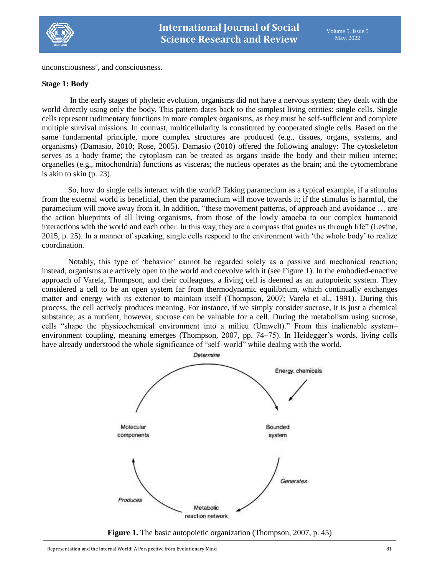

 $unconsciousness<sup>2</sup>$ , and consciousness.

#### **Stage 1: Body**

In the early stages of phyletic evolution, organisms did not have a nervous system; they dealt with the world directly using only the body. This pattern dates back to the simplest living entities: single cells. Single cells represent rudimentary functions in more complex organisms, as they must be self-sufficient and complete multiple survival missions. In contrast, multicellularity is constituted by cooperated single cells. Based on the same fundamental principle, more complex structures are produced (e.g., tissues, organs, systems, and organisms) (Damasio, 2010; Rose, 2005). Damasio (2010) offered the following analogy: The cytoskeleton serves as a body frame; the cytoplasm can be treated as organs inside the body and their milieu interne; organelles (e.g., mitochondria) functions as visceras; the nucleus operates as the brain; and the cytomembrane is akin to skin (p. 23).

So, how do single cells interact with the world? Taking paramecium as a typical example, if a stimulus from the external world is beneficial, then the paramecium will move towards it; if the stimulus is harmful, the paramecium will move away from it. In addition, "these movement patterns, of approach and avoidance … are the action blueprints of all living organisms, from those of the lowly amoeba to our complex humanoid interactions with the world and each other. In this way, they are a compass that guides us through life" (Levine, 2015, p. 25). In a manner of speaking, single cells respond to the environment with 'the whole body' to realize coordination.

Notably, this type of 'behavior' cannot be regarded solely as a passive and mechanical reaction; instead, organisms are actively open to the world and coevolve with it (see Figure 1). In the embodied-enactive approach of Varela, Thompson, and their colleagues, a living cell is deemed as an autopoietic system. They considered a cell to be an open system far from thermodynamic equilibrium, which continually exchanges matter and energy with its exterior to maintain itself (Thompson, 2007; Varela et al., 1991). During this process, the cell actively produces meaning. For instance, if we simply consider sucrose, it is just a chemical substance; as a nutrient, however, sucrose can be valuable for a cell. During the metabolism using sucrose, cells "shape the physicochemical environment into a milieu (Umwelt)." From this inalienable system– environment coupling, meaning emerges (Thompson, 2007, pp. 74–75). In Heidegger's words, living cells have already understood the whole significance of "self–world" while dealing with the world.



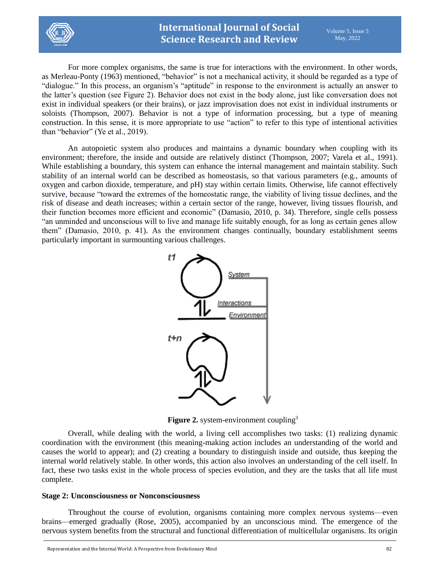

For more complex organisms, the same is true for interactions with the environment. In other words, as Merleau-Ponty (1963) mentioned, "behavior" is not a mechanical activity, it should be regarded as a type of "dialogue." In this process, an organism's "aptitude" in response to the environment is actually an answer to the latter's question (see Figure 2). Behavior does not exist in the body alone, just like conversation does not exist in individual speakers (or their brains), or jazz improvisation does not exist in individual instruments or soloists (Thompson, 2007). Behavior is not a type of information processing, but a type of meaning construction. In this sense, it is more appropriate to use "action" to refer to this type of intentional activities than "behavior" (Ye et al., 2019).

An autopoietic system also produces and maintains a dynamic boundary when coupling with its environment; therefore, the inside and outside are relatively distinct (Thompson, 2007; Varela et al., 1991). While establishing a boundary, this system can enhance the internal management and maintain stability. Such stability of an internal world can be described as homeostasis, so that various parameters (e.g., amounts of oxygen and carbon dioxide, temperature, and pH) stay within certain limits. Otherwise, life cannot effectively survive, because "toward the extremes of the homeostatic range, the viability of living tissue declines, and the risk of disease and death increases; within a certain sector of the range, however, living tissues flourish, and their function becomes more efficient and economic" (Damasio, 2010, p. 34). Therefore, single cells possess "an unminded and unconscious will to live and manage life suitably enough, for as long as certain genes allow them" (Damasio, 2010, p. 41). As the environment changes continually, boundary establishment seems particularly important in surmounting various challenges.



**Figure 2.** system-environment coupling<sup>3</sup>

Overall, while dealing with the world, a living cell accomplishes two tasks: (1) realizing dynamic coordination with the environment (this meaning-making action includes an understanding of the world and causes the world to appear); and (2) creating a boundary to distinguish inside and outside, thus keeping the internal world relatively stable. In other words, this action also involves an understanding of the cell itself. In fact, these two tasks exist in the whole process of species evolution, and they are the tasks that all life must complete.

#### **Stage 2: Unconsciousness or Nonconsciousness**

Throughout the course of evolution, organisms containing more complex nervous systems—even brains—emerged gradually (Rose, 2005), accompanied by an unconscious mind. The emergence of the nervous system benefits from the structural and functional differentiation of multicellular organisms. Its origin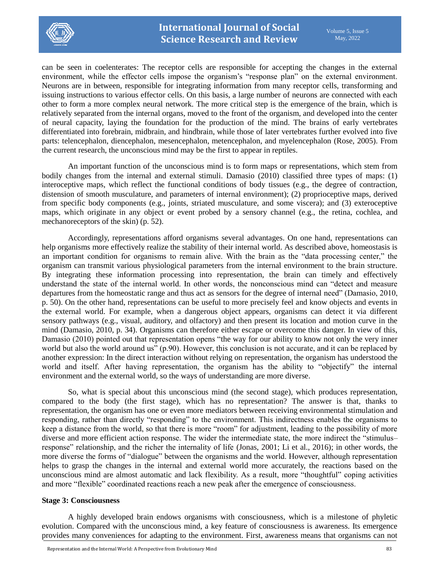can be seen in coelenterates: The receptor cells are responsible for accepting the changes in the external environment, while the effector cells impose the organism's "response plan" on the external environment. Neurons are in between, responsible for integrating information from many receptor cells, transforming and issuing instructions to various effector cells. On this basis, a large number of neurons are connected with each other to form a more complex neural network. The more critical step is the emergence of the brain, which is relatively separated from the internal organs, moved to the front of the organism, and developed into the center of neural capacity, laying the foundation for the production of the mind. The brains of early vertebrates differentiated into forebrain, midbrain, and hindbrain, while those of later vertebrates further evolved into five parts: telencephalon, diencephalon, mesencephalon, metencephalon, and myelencephalon (Rose, 2005). From the current research, the unconscious mind may be the first to appear in reptiles.

An important function of the unconscious mind is to form maps or representations, which stem from bodily changes from the internal and external stimuli. Damasio (2010) classified three types of maps: (1) interoceptive maps, which reflect the functional conditions of body tissues (e.g., the degree of contraction, distension of smooth musculature, and parameters of internal environment); (2) proprioceptive maps, derived from specific body components (e.g., joints, striated musculature, and some viscera); and (3) exteroceptive maps, which originate in any object or event probed by a sensory channel (e.g., the retina, cochlea, and mechanoreceptors of the skin) (p. 52).

Accordingly, representations afford organisms several advantages. On one hand, representations can help organisms more effectively realize the stability of their internal world. As described above, homeostasis is an important condition for organisms to remain alive. With the brain as the "data processing center," the organism can transmit various physiological parameters from the internal environment to the brain structure. By integrating these information processing into representation, the brain can timely and effectively understand the state of the internal world. In other words, the nonconscious mind can "detect and measure departures from the homeostatic range and thus act as sensors for the degree of internal need" (Damasio, 2010, p. 50). On the other hand, representations can be useful to more precisely feel and know objects and events in the external world. For example, when a dangerous object appears, organisms can detect it via different sensory pathways (e.g., visual, auditory, and olfactory) and then present its location and motion curve in the mind (Damasio, 2010, p. 34). Organisms can therefore either escape or overcome this danger. In view of this, Damasio (2010) pointed out that representation opens "the way for our ability to know not only the very inner world but also the world around us" (p.90). However, this conclusion is not accurate, and it can be replaced by another expression: In the direct interaction without relying on representation, the organism has understood the world and itself. After having representation, the organism has the ability to "objectify" the internal environment and the external world, so the ways of understanding are more diverse.

So, what is special about this unconscious mind (the second stage), which produces representation, compared to the body (the first stage), which has no representation? The answer is that, thanks to representation, the organism has one or even more mediators between receiving environmental stimulation and responding, rather than directly "responding" to the environment. This indirectness enables the organisms to keep a distance from the world, so that there is more "room" for adjustment, leading to the possibility of more diverse and more efficient action response. The wider the intermediate state, the more indirect the "stimulus– response" relationship, and the richer the internality of life (Jonas, 2001; Li et al., 2016); in other words, the more diverse the forms of "dialogue" between the organisms and the world. However, although representation helps to grasp the changes in the internal and external world more accurately, the reactions based on the unconscious mind are almost automatic and lack flexibility. As a result, more "thoughtful" coping activities and more "flexible" coordinated reactions reach a new peak after the emergence of consciousness.

# **Stage 3: Consciousness**

A highly developed brain endows organisms with consciousness, which is a milestone of phyletic evolution. Compared with the unconscious mind, a key feature of consciousness is awareness. Its emergence provides many conveniences for adapting to the environment. First, awareness means that organisms can not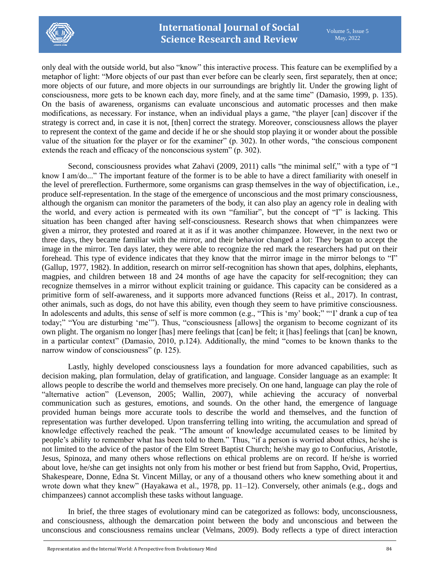

only deal with the outside world, but also "know" this interactive process. This feature can be exemplified by a metaphor of light: "More objects of our past than ever before can be clearly seen, first separately, then at once; more objects of our future, and more objects in our surroundings are brightly lit. Under the growing light of consciousness, more gets to be known each day, more finely, and at the same time" (Damasio, 1999, p. 135). On the basis of awareness, organisms can evaluate unconscious and automatic processes and then make modifications, as necessary. For instance, when an individual plays a game, "the player [can] discover if the strategy is correct and, in case it is not, [then] correct the strategy. Moreover, consciousness allows the player to represent the context of the game and decide if he or she should stop playing it or wonder about the possible value of the situation for the player or for the examiner" (p. 302). In other words, "the conscious component extends the reach and efficacy of the nonconscious system" (p. 302).

Second, consciousness provides what Zahavi (2009, 2011) calls "the minimal self," with a type of "I know I am/do..." The important feature of the former is to be able to have a direct familiarity with oneself in the level of prereflection. Furthermore, some organisms can grasp themselves in the way of objectification, i.e., produce self-representation. In the stage of the emergence of unconscious and the most primary consciousness, although the organism can monitor the parameters of the body, it can also play an agency role in dealing with the world, and every action is permeated with its own "familiar", but the concept of "I" is lacking. This situation has been changed after having self-consciousness. Research shows that when chimpanzees were given a mirror, they protested and roared at it as if it was another chimpanzee. However, in the next two or three days, they became familiar with the mirror, and their behavior changed a lot: They began to accept the image in the mirror. Ten days later, they were able to recognize the red mark the researchers had put on their forehead. This type of evidence indicates that they know that the mirror image in the mirror belongs to "I" (Gallup, 1977, 1982). In addition, research on mirror self-recognition has shown that apes, dolphins, elephants, magpies, and children between 18 and 24 months of age have the capacity for self-recognition; they can recognize themselves in a mirror without explicit training or guidance. This capacity can be considered as a primitive form of self-awareness, and it supports more advanced functions (Reiss et al., 2017). In contrast, other animals, such as dogs, do not have this ability, even though they seem to have primitive consciousness. In adolescents and adults, this sense of self is more common (e.g., "This is 'my' book;" "'I' drank a cup of tea today;" "You are disturbing 'me'"). Thus, "consciousness [allows] the organism to become cognizant of its own plight. The organism no longer [has] mere feelings that [can] be felt; it [has] feelings that [can] be known, in a particular context" (Damasio, 2010, p.124). Additionally, the mind "comes to be known thanks to the narrow window of consciousness" (p. 125).

Lastly, highly developed consciousness lays a foundation for more advanced capabilities, such as decision making, plan formulation, delay of gratification, and language. Consider language as an example: It allows people to describe the world and themselves more precisely. On one hand, language can play the role of "alternative action" (Levenson, 2005; Wallin, 2007), while achieving the accuracy of nonverbal communication such as gestures, emotions, and sounds. On the other hand, the emergence of language provided human beings more accurate tools to describe the world and themselves, and the function of representation was further developed. Upon transferring telling into writing, the accumulation and spread of knowledge effectively reached the peak. "The amount of knowledge accumulated ceases to be limited by people's ability to remember what has been told to them." Thus, "if a person is worried about ethics, he/she is not limited to the advice of the pastor of the Elm Street Baptist Church; he/she may go to Confucius, Aristotle, Jesus, Spinoza, and many others whose reflections on ethical problems are on record. If he/she is worried about love, he/she can get insights not only from his mother or best friend but from Sappho, Ovid, Propertius, Shakespeare, Donne, Edna St. Vincent Millay, or any of a thousand others who knew something about it and wrote down what they knew" (Hayakawa et al., 1978, pp. 11–12). Conversely, other animals (e.g., dogs and chimpanzees) cannot accomplish these tasks without language.

In brief, the three stages of evolutionary mind can be categorized as follows: body, unconsciousness, and consciousness, although the demarcation point between the body and unconscious and between the unconscious and consciousness remains unclear (Velmans, 2009). Body reflects a type of direct interaction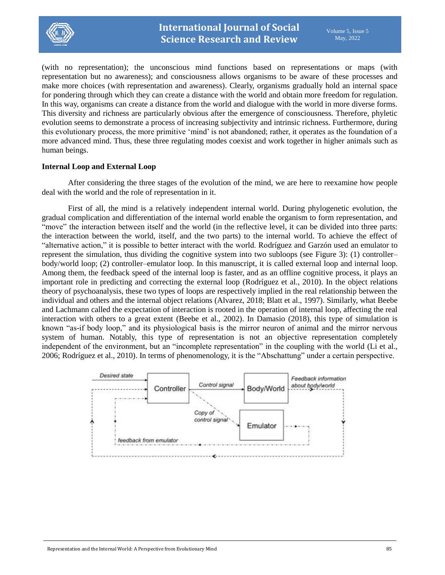

(with no representation); the unconscious mind functions based on representations or maps (with representation but no awareness); and consciousness allows organisms to be aware of these processes and make more choices (with representation and awareness). Clearly, organisms gradually hold an internal space for pondering through which they can create a distance with the world and obtain more freedom for regulation. In this way, organisms can create a distance from the world and dialogue with the world in more diverse forms. This diversity and richness are particularly obvious after the emergence of consciousness. Therefore, phyletic evolution seems to demonstrate a process of increasing subjectivity and intrinsic richness. Furthermore, during this evolutionary process, the more primitive 'mind' is not abandoned; rather, it operates as the foundation of a more advanced mind. Thus, these three regulating modes coexist and work together in higher animals such as human beings.

#### **Internal Loop and External Loop**

After considering the three stages of the evolution of the mind, we are here to reexamine how people deal with the world and the role of representation in it.

First of all, the mind is a relatively independent internal world. During phylogenetic evolution, the gradual complication and differentiation of the internal world enable the organism to form representation, and "move" the interaction between itself and the world (in the reflective level, it can be divided into three parts: the interaction between the world, itself, and the two parts) to the internal world. To achieve the effect of "alternative action," it is possible to better interact with the world. Rodríguez and Garzón used an emulator to represent the simulation, thus dividing the cognitive system into two subloops (see Figure 3): (1) controller– body/world loop; (2) controller–emulator loop. In this manuscript, it is called external loop and internal loop. Among them, the feedback speed of the internal loop is faster, and as an offline cognitive process, it plays an important role in predicting and correcting the external loop (Rodríguez et al., 2010). In the object relations theory of psychoanalysis, these two types of loops are respectively implied in the real relationship between the individual and others and the internal object relations (Alvarez, 2018; Blatt et al., 1997). Similarly, what Beebe and Lachmann called the expectation of interaction is rooted in the operation of internal loop, affecting the real interaction with others to a great extent (Beebe et al., 2002). In Damasio (2018), this type of simulation is known "as-if body loop," and its physiological basis is the mirror neuron of animal and the mirror nervous system of human. Notably, this type of representation is not an objective representation completely independent of the environment, but an "incomplete representation" in the coupling with the world (Li et al., 2006; Rodríguez et al., 2010). In terms of phenomenology, it is the "Abschattung" under a certain perspective.

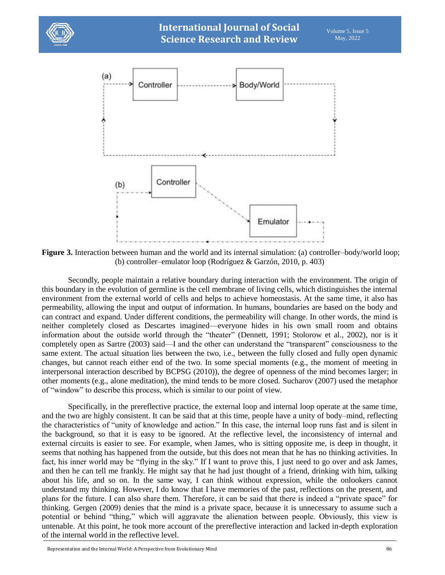



**Figure 3.** Interaction between human and the world and its internal simulation: (a) controller–body/world loop; (b) controller–emulator loop (Rodríguez & Garzón, 2010, p. 403)

Secondly, people maintain a relative boundary during interaction with the environment. The origin of this boundary in the evolution of germline is the cell membrane of living cells, which distinguishes the internal environment from the external world of cells and helps to achieve homeostasis. At the same time, it also has permeability, allowing the input and output of information. In humans, boundaries are based on the body and can contract and expand. Under different conditions, the permeability will change. In other words, the mind is neither completely closed as Descartes imagined—everyone hides in his own small room and obtains information about the outside world through the "theater" (Dennett, 1991; Stolorow et al., 2002), nor is it completely open as Sartre (2003) said—I and the other can understand the "transparent" consciousness to the same extent. The actual situation lies between the two, i.e., between the fully closed and fully open dynamic changes, but cannot reach either end of the two. In some special moments (e.g., the moment of meeting in interpersonal interaction described by BCPSG (2010)), the degree of openness of the mind becomes larger; in other moments (e.g., alone meditation), the mind tends to be more closed. Sucharov (2007) used the metaphor of "window" to describe this process, which is similar to our point of view.

Specifically, in the prereflective practice, the external loop and internal loop operate at the same time, and the two are highly consistent. It can be said that at this time, people have a unity of body–mind, reflecting the characteristics of "unity of knowledge and action." In this case, the internal loop runs fast and is silent in the background, so that it is easy to be ignored. At the reflective level, the inconsistency of internal and external circuits is easier to see. For example, when James, who is sitting opposite me, is deep in thought, it seems that nothing has happened from the outside, but this does not mean that he has no thinking activities. In fact, his inner world may be "flying in the sky." If I want to prove this, I just need to go over and ask James, and then he can tell me frankly. He might say that he had just thought of a friend, drinking with him, talking about his life, and so on. In the same way, I can think without expression, while the onlookers cannot understand my thinking. However, I do know that I have memories of the past, reflections on the present, and plans for the future. I can also share them. Therefore, it can be said that there is indeed a "private space" for thinking. Gergen (2009) denies that the mind is a private space, because it is unnecessary to assume such a potential or behind "thing," which will aggravate the alienation between people. Obviously, this view is untenable. At this point, he took more account of the prereflective interaction and lacked in-depth exploration of the internal world in the reflective level.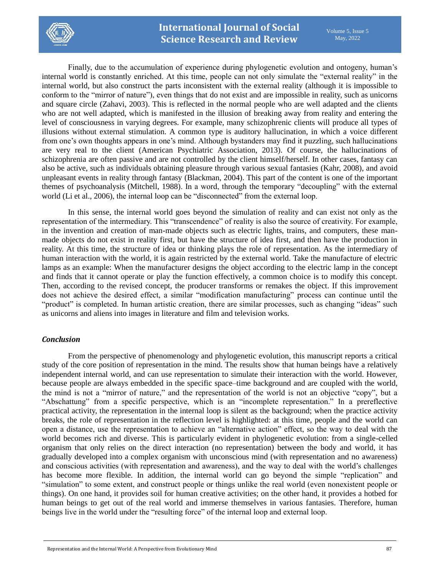

Finally, due to the accumulation of experience during phylogenetic evolution and ontogeny, human's internal world is constantly enriched. At this time, people can not only simulate the "external reality" in the internal world, but also construct the parts inconsistent with the external reality (although it is impossible to conform to the "mirror of nature"), even things that do not exist and are impossible in reality, such as unicorns and square circle (Zahavi, 2003). This is reflected in the normal people who are well adapted and the clients who are not well adapted, which is manifested in the illusion of breaking away from reality and entering the level of consciousness in varying degrees. For example, many schizophrenic clients will produce all types of illusions without external stimulation. A common type is auditory hallucination, in which a voice different from one's own thoughts appears in one's mind. Although bystanders may find it puzzling, such hallucinations are very real to the client (American Psychiatric Association, 2013). Of course, the hallucinations of schizophrenia are often passive and are not controlled by the client himself/herself. In other cases, fantasy can also be active, such as individuals obtaining pleasure through various sexual fantasies (Kahr, 2008), and avoid unpleasant events in reality through fantasy (Blackman, 2004). This part of the content is one of the important themes of psychoanalysis (Mitchell, 1988). In a word, through the temporary "decoupling" with the external world (Li et al., 2006), the internal loop can be "disconnected" from the external loop.

In this sense, the internal world goes beyond the simulation of reality and can exist not only as the representation of the intermediary. This "transcendence" of reality is also the source of creativity. For example, in the invention and creation of man-made objects such as electric lights, trains, and computers, these manmade objects do not exist in reality first, but have the structure of idea first, and then have the production in reality. At this time, the structure of idea or thinking plays the role of representation. As the intermediary of human interaction with the world, it is again restricted by the external world. Take the manufacture of electric lamps as an example: When the manufacturer designs the object according to the electric lamp in the concept and finds that it cannot operate or play the function effectively, a common choice is to modify this concept. Then, according to the revised concept, the producer transforms or remakes the object. If this improvement does not achieve the desired effect, a similar "modification manufacturing" process can continue until the "product" is completed. In human artistic creation, there are similar processes, such as changing "ideas" such as unicorns and aliens into images in literature and film and television works.

# *Conclusion*

From the perspective of phenomenology and phylogenetic evolution, this manuscript reports a critical study of the core position of representation in the mind. The results show that human beings have a relatively independent internal world, and can use representation to simulate their interaction with the world. However, because people are always embedded in the specific space–time background and are coupled with the world, the mind is not a "mirror of nature," and the representation of the world is not an objective "copy", but a "Abschattung" from a specific perspective, which is an "incomplete representation." In a prereflective practical activity, the representation in the internal loop is silent as the background; when the practice activity breaks, the role of representation in the reflection level is highlighted: at this time, people and the world can open a distance, use the representation to achieve an "alternative action" effect, so the way to deal with the world becomes rich and diverse. This is particularly evident in phylogenetic evolution: from a single-celled organism that only relies on the direct interaction (no representation) between the body and world, it has gradually developed into a complex organism with unconscious mind (with representation and no awareness) and conscious activities (with representation and awareness), and the way to deal with the world's challenges has become more flexible. In addition, the internal world can go beyond the simple "replication" and "simulation" to some extent, and construct people or things unlike the real world (even nonexistent people or things). On one hand, it provides soil for human creative activities; on the other hand, it provides a hotbed for human beings to get out of the real world and immerse themselves in various fantasies. Therefore, human beings live in the world under the "resulting force" of the internal loop and external loop.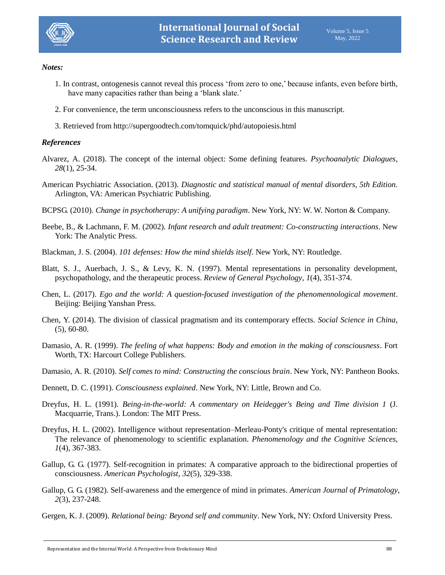

#### *Notes:*

- 1. In contrast, ontogenesis cannot reveal this process 'from zero to one,' because infants, even before birth, have many capacities rather than being a 'blank slate.'
- 2. For convenience, the term unconsciousness refers to the unconscious in this manuscript.
- 3. Retrieved from http://supergoodtech.com/tomquick/phd/autopoiesis.html

#### *References*

- Alvarez, A. (2018). The concept of the internal object: Some defining features. *Psychoanalytic Dialogues*, *28*(1), 25-34.
- American Psychiatric Association. (2013). *Diagnostic and statistical manual of mental disorders, 5th Edition*. Arlington, VA: American Psychiatric Publishing.
- BCPSG. (2010). *Change in psychotherapy: A unifying paradigm*. New York, NY: W. W. Norton & Company.
- Beebe, B., & Lachmann, F. M. (2002). *Infant research and adult treatment: Co-constructing interactions*. New York: The Analytic Press.
- Blackman, J. S. (2004). *101 defenses: How the mind shields itself*. New York, NY: Routledge.
- Blatt, S. J., Auerbach, J. S., & Levy, K. N. (1997). Mental representations in personality development, psychopathology, and the therapeutic process. *Review of General Psychology*, *1*(4), 351-374.
- Chen, L. (2017). *Ego and the world: A question-focused investigation of the phenomennological movement*. Beijing: Beijing Yanshan Press.
- Chen, Y. (2014). The division of classical pragmatism and its contemporary effects. *Social Science in China*, (5), 60-80.
- Damasio, A. R. (1999). *The feeling of what happens: Body and emotion in the making of consciousness*. Fort Worth, TX: Harcourt College Publishers.
- Damasio, A. R. (2010). *Self comes to mind: Constructing the conscious brain*. New York, NY: Pantheon Books.
- Dennett, D. C. (1991). *Consciousness explained*. New York, NY: Little, Brown and Co.
- Dreyfus, H. L. (1991). *Being-in-the-world: A commentary on Heidegger's Being and Time division 1* (J. Macquarrie, Trans.). London: The MIT Press.
- Dreyfus, H. L. (2002). Intelligence without representation–Merleau-Ponty's critique of mental representation: The relevance of phenomenology to scientific explanation. *Phenomenology and the Cognitive Sciences*, *1*(4), 367-383.
- Gallup, G. G. (1977). Self-recognition in primates: A comparative approach to the bidirectional properties of consciousness. *American Psychologist*, *32*(5), 329-338.
- Gallup, G. G. (1982). Self-awareness and the emergence of mind in primates. *American Journal of Primatology*, *2*(3), 237-248.
- Gergen, K. J. (2009). *Relational being: Beyond self and community*. New York, NY: Oxford University Press.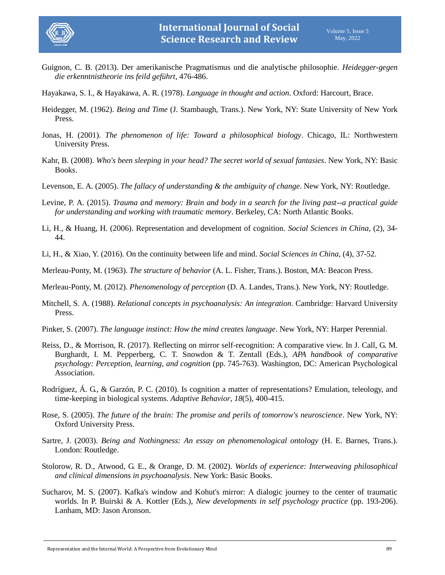

Guignon, C. B. (2013). Der amerikanische Pragmatismus und die analytische philosophie. *Heidegger-gegen die erkenntnistheorie ins feild geführt*, 476-486.

Hayakawa, S. I., & Hayakawa, A. R. (1978). *Language in thought and action*. Oxford: Harcourt, Brace.

- Heidegger, M. (1962). *Being and Time* (J. Stambaugh, Trans.). New York, NY: State University of New York Press.
- Jonas, H. (2001). *The phenomenon of life: Toward a philosophical biology*. Chicago, IL: Northwestern University Press.
- Kahr, B. (2008). *Who's been sleeping in your head? The secret world of sexual fantasies*. New York, NY: Basic Books.
- Levenson, E. A. (2005). *The fallacy of understanding & the ambiguity of change*. New York, NY: Routledge.
- Levine, P. A. (2015). *Trauma and memory: Brain and body in a search for the living past--a practical guide for understanding and working with traumatic memory*. Berkeley, CA: North Atlantic Books.
- Li, H., & Huang, H. (2006). Representation and development of cognition. *Social Sciences in China*, (2), 34- 44.
- Li, H., & Xiao, Y. (2016). On the continuity between life and mind. *Social Sciences in China*, (4), 37-52.
- Merleau-Ponty, M. (1963). *The structure of behavior* (A. L. Fisher, Trans.). Boston, MA: Beacon Press.
- Merleau-Ponty, M. (2012). *Phenomenology of perception* (D. A. Landes, Trans.). New York, NY: Routledge.
- Mitchell, S. A. (1988). *Relational concepts in psychoanalysis: An integration*. Cambridge: Harvard University Press.
- Pinker, S. (2007). *The language instinct: How the mind creates language*. New York, NY: Harper Perennial.
- Reiss, D., & Morrison, R. (2017). Reflecting on mirror self-recognition: A comparative view. In J. Call, G. M. Burghardt, I. M. Pepperberg, C. T. Snowdon & T. Zentall (Eds.), *APA handbook of comparative psychology: Perception, learning, and cognition* (pp. 745-763). Washington, DC: American Psychological Association.
- Rodríguez, Á. G., & Garzón, P. C. (2010). Is cognition a matter of representations? Emulation, teleology, and time-keeping in biological systems. *Adaptive Behavior*, *18*(5), 400-415.
- Rose, S. (2005). *The future of the brain: The promise and perils of tomorrow's neuroscience*. New York, NY: Oxford University Press.
- Sartre, J. (2003). *Being and Nothingness: An essay on phenomenological ontology* (H. E. Barnes, Trans.). London: Routledge.
- Stolorow, R. D., Atwood, G. E., & Orange, D. M. (2002). *Worlds of experience: Interweaving philosophical and clinical dimensions in psychoanalysis*. New York: Basic Books.
- Sucharov, M. S. (2007). Kafka's window and Kohut's mirror: A dialogic journey to the center of traumatic worlds. In P. Buirski & A. Kottler (Eds.), *New developments in self psychology practice* (pp. 193-206). Lanham, MD: Jason Aronson.